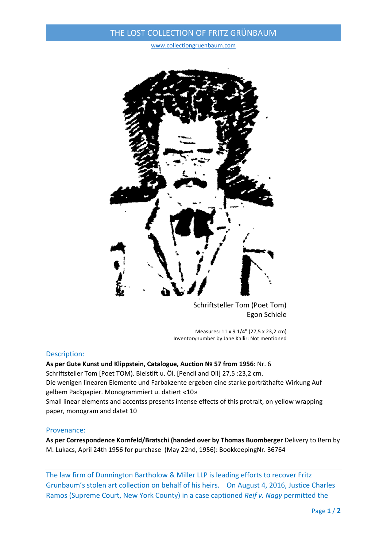# THE LOST COLLECTION OF FRITZ GRÜNBAUM

www.collectiongruenbaum.com



Schriftsteller Tom (Poet Tom) Egon Schiele

Measures: 11 x 9 1/4" (27,5 x 23,2 cm) Inventorynumber by Jane Kallir: Not mentioned

### Description:

**As per Gute Kunst und Klippstein, Catalogue, Auction № 57 from 1956**: Nr. 6 Schriftsteller Tom [Poet TOM). Bleistift u. Öl. [Pencil and Oil] 27,5 :23,2 cm. Die wenigen linearen Elemente und Farbakzente ergeben eine starke porträthafte Wirkung Auf gelbem Packpapier. Monogrammiert u. datiert «10» Small linear elements and accentss presents intense effects of this protrait, on yellow wrapping paper, monogram and datet 10

### Provenance:

**As per Correspondence Kornfeld/Bratschi (handed over by Thomas Buomberger** Delivery to Bern by M. Lukacs, April 24th 1956 for purchase (May 22nd, 1956): BookkeepingNr. 36764

The law firm of Dunnington Bartholow & Miller LLP is leading efforts to recover Fritz Grunbaum's stolen art collection on behalf of his heirs. On August 4, 2016, Justice Charles Ramos (Supreme Court, New York County) in a case captioned *Reif v. Nagy* permitted the